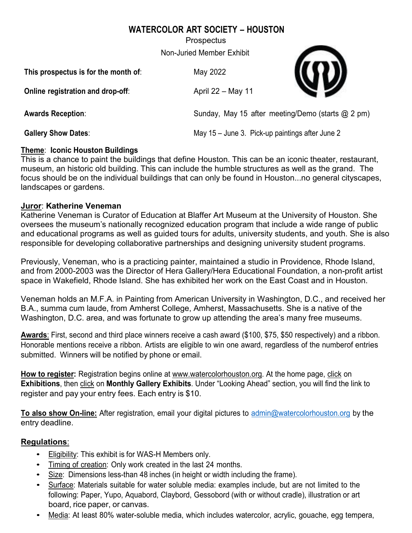# **WATERCOLOR ART SOCIETY – HOUSTON**

**Prospectus** 

Non-Juried Member Exhibit

| This prospectus is for the month of: | May 2022                                          |  |
|--------------------------------------|---------------------------------------------------|--|
| Online registration and drop-off:    | April 22 - May 11                                 |  |
| <b>Awards Reception:</b>             | Sunday, May 15 after meeting/Demo (starts @ 2 pm) |  |
| <b>Gallery Show Dates:</b>           | May 15 - June 3. Pick-up paintings after June 2   |  |

### **Theme**: **Iconic Houston Buildings**

This is a chance to paint the buildings that define Houston. This can be an iconic theater, restaurant, museum, an historic old building. This can include the humble structures as well as the grand. The focus should be on the individual buildings that can only be found in Houston...no general cityscapes, landscapes or gardens.

## **Juror**: **Katherine Veneman**

Katherine Veneman is Curator of Education at Blaffer Art Museum at the University of Houston. She oversees the museum's nationally recognized education program that include a wide range of public and educational programs as well as guided tours for adults, university students, and youth. She is also responsible for developing collaborative partnerships and designing university student programs.

Previously, Veneman, who is a practicing painter, maintained a studio in Providence, Rhode Island, and from 2000-2003 was the Director of Hera Gallery/Hera Educational Foundation, a non-profit artist space in Wakefield, Rhode Island. She has exhibited her work on the East Coast and in Houston.

Veneman holds an M.F.A. in Painting from American University in Washington, D.C., and received her B.A., summa cum laude, from Amherst College, Amherst, Massachusetts. She is a native of the Washington, D.C. area, and was fortunate to grow up attending the area's many free museums.

**Awards**: First, second and third place winners receive a cash award (\$100, \$75, \$50 respectively) and a ribbon. Honorable mentions receive a ribbon. Artists are eligible to win one award, regardless of the numberof entries submitted. Winners will be notified by phone or email.

**How to register:** Registration begins online at [www.watercolorhouston.org.](http://www.watercolorhouston.org/) At the home page, click on **Exhibitions**, then click on **Monthly Gallery Exhibits**. Under "Looking Ahead" section, you will find the link to register and pay your entry fees. Each entry is \$10.

**To also show On-line:** After registration, email your digital pictures to [admin@watercolorhouston.org](mailto:admin@watercolorhouston.org) by the entry deadline.

# **Regulations**:

- Eligibility: This exhibit is for WAS-H Members only.
- Timing of creation: Only work created in the last 24 months.
- Size: Dimensions less-than 48 inches (in height or width including the frame).
- Surface: Materials suitable for water soluble media: examples include, but are not limited to the following: Paper, Yupo, Aquabord, Claybord, Gessobord (with or without cradle), illustration or art board, rice paper, or canvas.
- Media: At least 80% water-soluble media, which includes watercolor, acrylic, gouache, egg tempera,